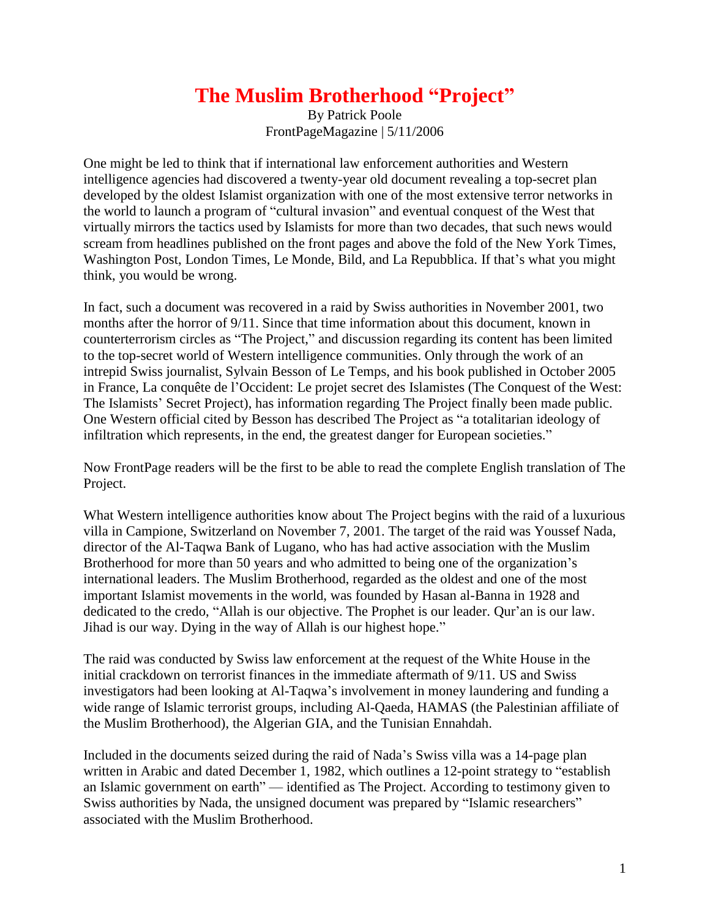# **The Muslim Brotherhood "Project"**

By Patrick Poole FrontPageMagazine | 5/11/2006

One might be led to think that if international law enforcement authorities and Western intelligence agencies had discovered a twenty-year old document revealing a top-secret plan developed by the oldest Islamist organization with one of the most extensive terror networks in the world to launch a program of "cultural invasion" and eventual conquest of the West that virtually mirrors the tactics used by Islamists for more than two decades, that such news would scream from headlines published on the front pages and above the fold of the New York Times, Washington Post, London Times, Le Monde, Bild, and La Repubblica. If that's what you might think, you would be wrong.

In fact, such a document was recovered in a raid by Swiss authorities in November 2001, two months after the horror of 9/11. Since that time information about this document, known in counterterrorism circles as "The Project," and discussion regarding its content has been limited to the top-secret world of Western intelligence communities. Only through the work of an intrepid Swiss journalist, Sylvain Besson of Le Temps, and his book published in October 2005 in France, La conquête de l'Occident: Le projet secret des Islamistes (The Conquest of the West: The Islamists' Secret Project), has information regarding The Project finally been made public. One Western official cited by Besson has described The Project as "a totalitarian ideology of infiltration which represents, in the end, the greatest danger for European societies."

Now FrontPage readers will be the first to be able to read the complete English translation of The Project.

What Western intelligence authorities know about The Project begins with the raid of a luxurious villa in Campione, Switzerland on November 7, 2001. The target of the raid was Youssef Nada, director of the Al-Taqwa Bank of Lugano, who has had active association with the Muslim Brotherhood for more than 50 years and who admitted to being one of the organization's international leaders. The Muslim Brotherhood, regarded as the oldest and one of the most important Islamist movements in the world, was founded by Hasan al-Banna in 1928 and dedicated to the credo, "Allah is our objective. The Prophet is our leader. Qur'an is our law. Jihad is our way. Dying in the way of Allah is our highest hope."

The raid was conducted by Swiss law enforcement at the request of the White House in the initial crackdown on terrorist finances in the immediate aftermath of 9/11. US and Swiss investigators had been looking at Al-Taqwa's involvement in money laundering and funding a wide range of Islamic terrorist groups, including Al-Qaeda, HAMAS (the Palestinian affiliate of the Muslim Brotherhood), the Algerian GIA, and the Tunisian Ennahdah.

Included in the documents seized during the raid of Nada's Swiss villa was a 14-page plan written in Arabic and dated December 1, 1982, which outlines a 12-point strategy to "establish an Islamic government on earth" — identified as The Project. According to testimony given to Swiss authorities by Nada, the unsigned document was prepared by "Islamic researchers" associated with the Muslim Brotherhood.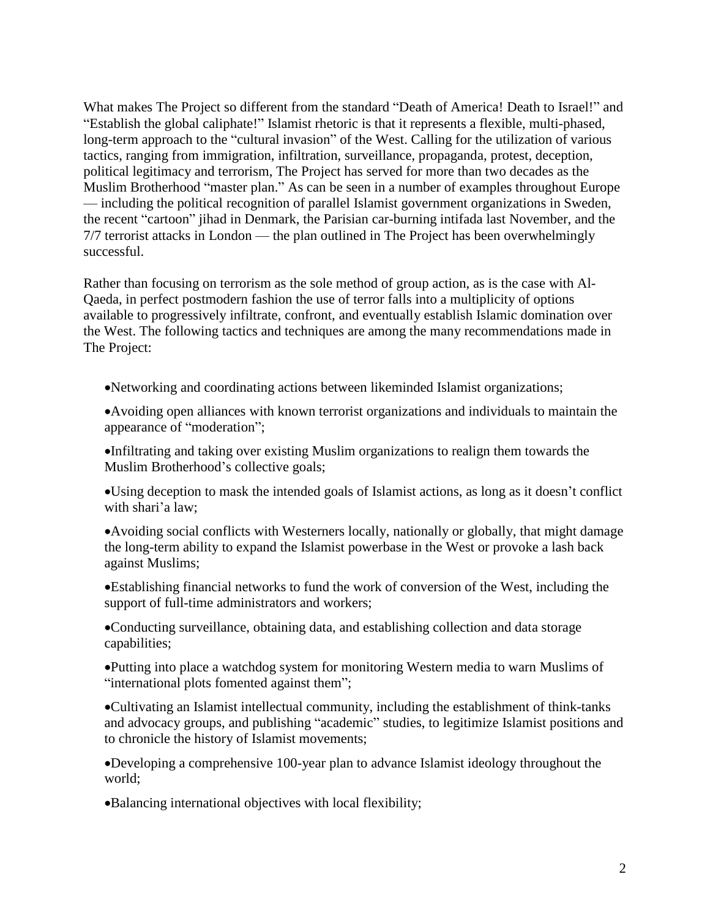What makes The Project so different from the standard "Death of America! Death to Israel!" and "Establish the global caliphate!" Islamist rhetoric is that it represents a flexible, multi-phased, long-term approach to the "cultural invasion" of the West. Calling for the utilization of various tactics, ranging from immigration, infiltration, surveillance, propaganda, protest, deception, political legitimacy and terrorism, The Project has served for more than two decades as the Muslim Brotherhood "master plan." As can be seen in a number of examples throughout Europe — including the political recognition of parallel Islamist government organizations in Sweden, the recent "cartoon" jihad in Denmark, the Parisian car-burning intifada last November, and the 7/7 terrorist attacks in London — the plan outlined in The Project has been overwhelmingly successful.

Rather than focusing on terrorism as the sole method of group action, as is the case with Al-Qaeda, in perfect postmodern fashion the use of terror falls into a multiplicity of options available to progressively infiltrate, confront, and eventually establish Islamic domination over the West. The following tactics and techniques are among the many recommendations made in The Project:

Networking and coordinating actions between likeminded Islamist organizations;

Avoiding open alliances with known terrorist organizations and individuals to maintain the appearance of "moderation";

Infiltrating and taking over existing Muslim organizations to realign them towards the Muslim Brotherhood's collective goals;

Using deception to mask the intended goals of Islamist actions, as long as it doesn't conflict with shari'a law;

Avoiding social conflicts with Westerners locally, nationally or globally, that might damage the long-term ability to expand the Islamist powerbase in the West or provoke a lash back against Muslims;

Establishing financial networks to fund the work of conversion of the West, including the support of full-time administrators and workers;

Conducting surveillance, obtaining data, and establishing collection and data storage capabilities;

Putting into place a watchdog system for monitoring Western media to warn Muslims of "international plots fomented against them";

Cultivating an Islamist intellectual community, including the establishment of think-tanks and advocacy groups, and publishing "academic" studies, to legitimize Islamist positions and to chronicle the history of Islamist movements;

Developing a comprehensive 100-year plan to advance Islamist ideology throughout the world;

Balancing international objectives with local flexibility;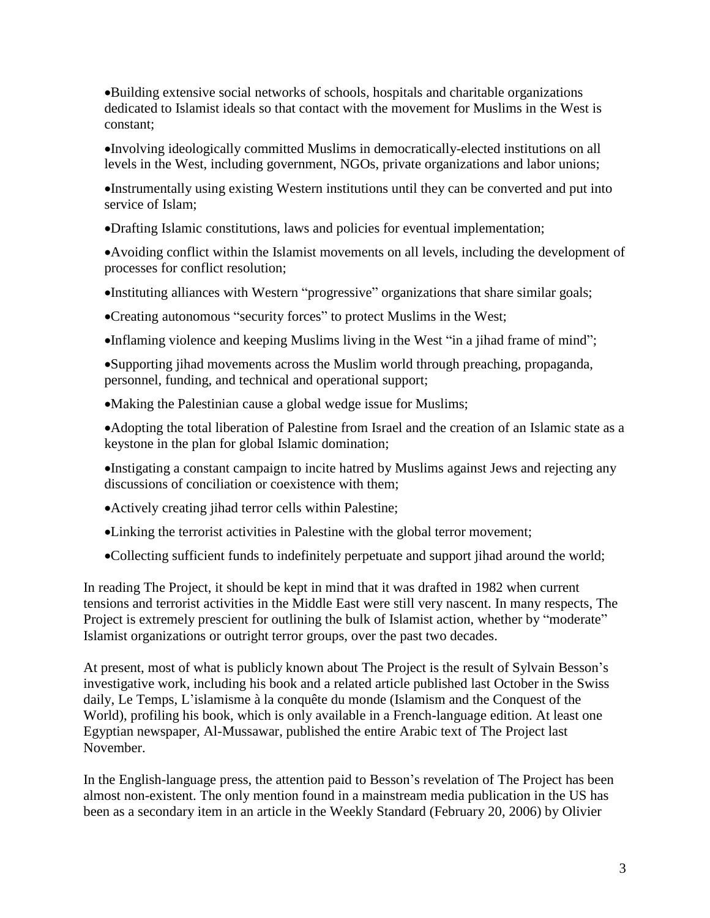Building extensive social networks of schools, hospitals and charitable organizations dedicated to Islamist ideals so that contact with the movement for Muslims in the West is constant;

Involving ideologically committed Muslims in democratically-elected institutions on all levels in the West, including government, NGOs, private organizations and labor unions;

Instrumentally using existing Western institutions until they can be converted and put into service of Islam;

Drafting Islamic constitutions, laws and policies for eventual implementation;

Avoiding conflict within the Islamist movements on all levels, including the development of processes for conflict resolution;

Instituting alliances with Western "progressive" organizations that share similar goals;

Creating autonomous "security forces" to protect Muslims in the West;

•Inflaming violence and keeping Muslims living in the West "in a jihad frame of mind";

Supporting jihad movements across the Muslim world through preaching, propaganda, personnel, funding, and technical and operational support;

Making the Palestinian cause a global wedge issue for Muslims;

Adopting the total liberation of Palestine from Israel and the creation of an Islamic state as a keystone in the plan for global Islamic domination;

Instigating a constant campaign to incite hatred by Muslims against Jews and rejecting any discussions of conciliation or coexistence with them;

Actively creating jihad terror cells within Palestine;

Linking the terrorist activities in Palestine with the global terror movement;

Collecting sufficient funds to indefinitely perpetuate and support jihad around the world;

In reading The Project, it should be kept in mind that it was drafted in 1982 when current tensions and terrorist activities in the Middle East were still very nascent. In many respects, The Project is extremely prescient for outlining the bulk of Islamist action, whether by "moderate" Islamist organizations or outright terror groups, over the past two decades.

At present, most of what is publicly known about The Project is the result of Sylvain Besson's investigative work, including his book and a related article published last October in the Swiss daily, Le Temps, L'islamisme à la conquête du monde (Islamism and the Conquest of the World), profiling his book, which is only available in a French-language edition. At least one Egyptian newspaper, Al-Mussawar, published the entire Arabic text of The Project last November.

In the English-language press, the attention paid to Besson's revelation of The Project has been almost non-existent. The only mention found in a mainstream media publication in the US has been as a secondary item in an article in the Weekly Standard (February 20, 2006) by Olivier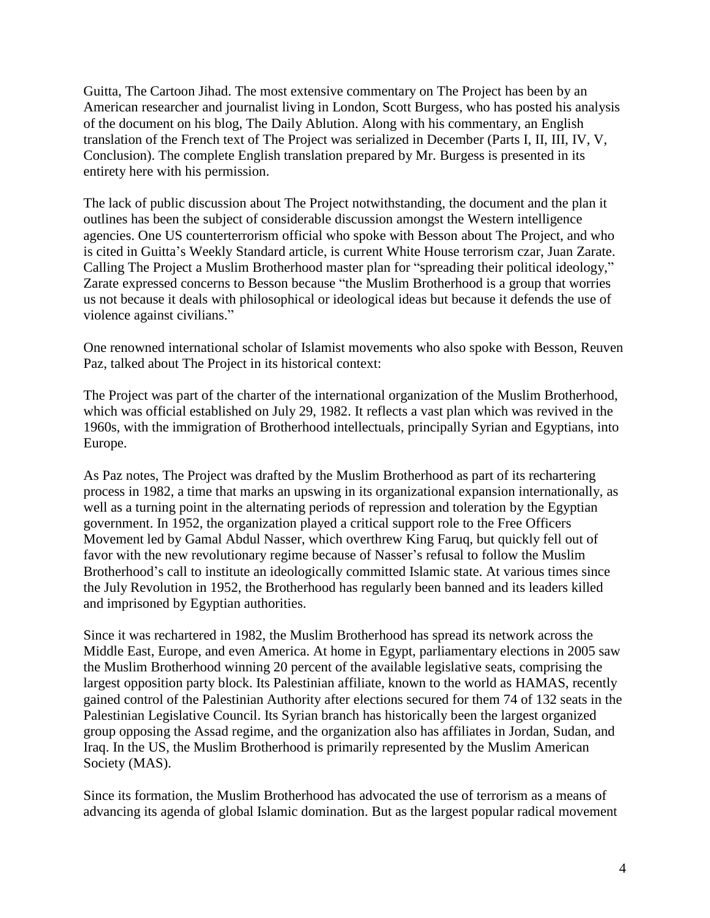Guitta, The Cartoon Jihad. The most extensive commentary on The Project has been by an American researcher and journalist living in London, Scott Burgess, who has posted his analysis of the document on his blog, The Daily Ablution. Along with his commentary, an English translation of the French text of The Project was serialized in December (Parts I, II, III, IV, V, Conclusion). The complete English translation prepared by Mr. Burgess is presented in its entirety here with his permission.

The lack of public discussion about The Project notwithstanding, the document and the plan it outlines has been the subject of considerable discussion amongst the Western intelligence agencies. One US counterterrorism official who spoke with Besson about The Project, and who is cited in Guitta's Weekly Standard article, is current White House terrorism czar, Juan Zarate. Calling The Project a Muslim Brotherhood master plan for "spreading their political ideology," Zarate expressed concerns to Besson because "the Muslim Brotherhood is a group that worries us not because it deals with philosophical or ideological ideas but because it defends the use of violence against civilians."

One renowned international scholar of Islamist movements who also spoke with Besson, Reuven Paz, talked about The Project in its historical context:

The Project was part of the charter of the international organization of the Muslim Brotherhood, which was official established on July 29, 1982. It reflects a vast plan which was revived in the 1960s, with the immigration of Brotherhood intellectuals, principally Syrian and Egyptians, into Europe.

As Paz notes, The Project was drafted by the Muslim Brotherhood as part of its rechartering process in 1982, a time that marks an upswing in its organizational expansion internationally, as well as a turning point in the alternating periods of repression and toleration by the Egyptian government. In 1952, the organization played a critical support role to the Free Officers Movement led by Gamal Abdul Nasser, which overthrew King Faruq, but quickly fell out of favor with the new revolutionary regime because of Nasser's refusal to follow the Muslim Brotherhood's call to institute an ideologically committed Islamic state. At various times since the July Revolution in 1952, the Brotherhood has regularly been banned and its leaders killed and imprisoned by Egyptian authorities.

Since it was rechartered in 1982, the Muslim Brotherhood has spread its network across the Middle East, Europe, and even America. At home in Egypt, parliamentary elections in 2005 saw the Muslim Brotherhood winning 20 percent of the available legislative seats, comprising the largest opposition party block. Its Palestinian affiliate, known to the world as HAMAS, recently gained control of the Palestinian Authority after elections secured for them 74 of 132 seats in the Palestinian Legislative Council. Its Syrian branch has historically been the largest organized group opposing the Assad regime, and the organization also has affiliates in Jordan, Sudan, and Iraq. In the US, the Muslim Brotherhood is primarily represented by the Muslim American Society (MAS).

Since its formation, the Muslim Brotherhood has advocated the use of terrorism as a means of advancing its agenda of global Islamic domination. But as the largest popular radical movement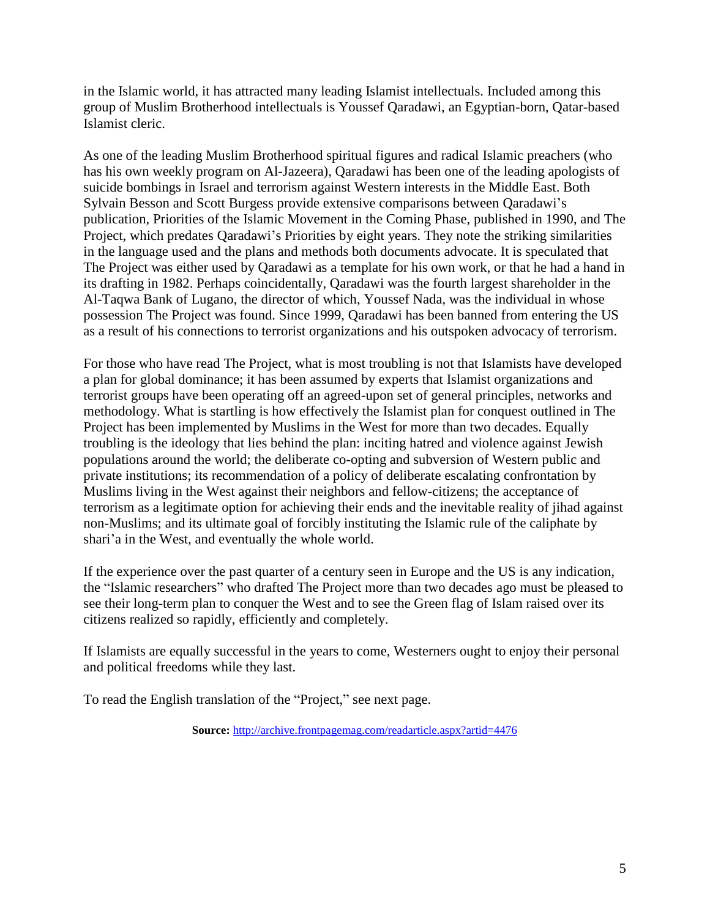in the Islamic world, it has attracted many leading Islamist intellectuals. Included among this group of Muslim Brotherhood intellectuals is Youssef Qaradawi, an Egyptian-born, Qatar-based Islamist cleric.

As one of the leading Muslim Brotherhood spiritual figures and radical Islamic preachers (who has his own weekly program on Al-Jazeera), Qaradawi has been one of the leading apologists of suicide bombings in Israel and terrorism against Western interests in the Middle East. Both Sylvain Besson and Scott Burgess provide extensive comparisons between Qaradawi's publication, Priorities of the Islamic Movement in the Coming Phase, published in 1990, and The Project, which predates Qaradawi's Priorities by eight years. They note the striking similarities in the language used and the plans and methods both documents advocate. It is speculated that The Project was either used by Qaradawi as a template for his own work, or that he had a hand in its drafting in 1982. Perhaps coincidentally, Qaradawi was the fourth largest shareholder in the Al-Taqwa Bank of Lugano, the director of which, Youssef Nada, was the individual in whose possession The Project was found. Since 1999, Qaradawi has been banned from entering the US as a result of his connections to terrorist organizations and his outspoken advocacy of terrorism.

For those who have read The Project, what is most troubling is not that Islamists have developed a plan for global dominance; it has been assumed by experts that Islamist organizations and terrorist groups have been operating off an agreed-upon set of general principles, networks and methodology. What is startling is how effectively the Islamist plan for conquest outlined in The Project has been implemented by Muslims in the West for more than two decades. Equally troubling is the ideology that lies behind the plan: inciting hatred and violence against Jewish populations around the world; the deliberate co-opting and subversion of Western public and private institutions; its recommendation of a policy of deliberate escalating confrontation by Muslims living in the West against their neighbors and fellow-citizens; the acceptance of terrorism as a legitimate option for achieving their ends and the inevitable reality of jihad against non-Muslims; and its ultimate goal of forcibly instituting the Islamic rule of the caliphate by shari'a in the West, and eventually the whole world.

If the experience over the past quarter of a century seen in Europe and the US is any indication, the "Islamic researchers" who drafted The Project more than two decades ago must be pleased to see their long-term plan to conquer the West and to see the Green flag of Islam raised over its citizens realized so rapidly, efficiently and completely.

If Islamists are equally successful in the years to come, Westerners ought to enjoy their personal and political freedoms while they last.

To read the English translation of the "Project," see next page.

**Source:** <http://archive.frontpagemag.com/readarticle.aspx?artid=4476>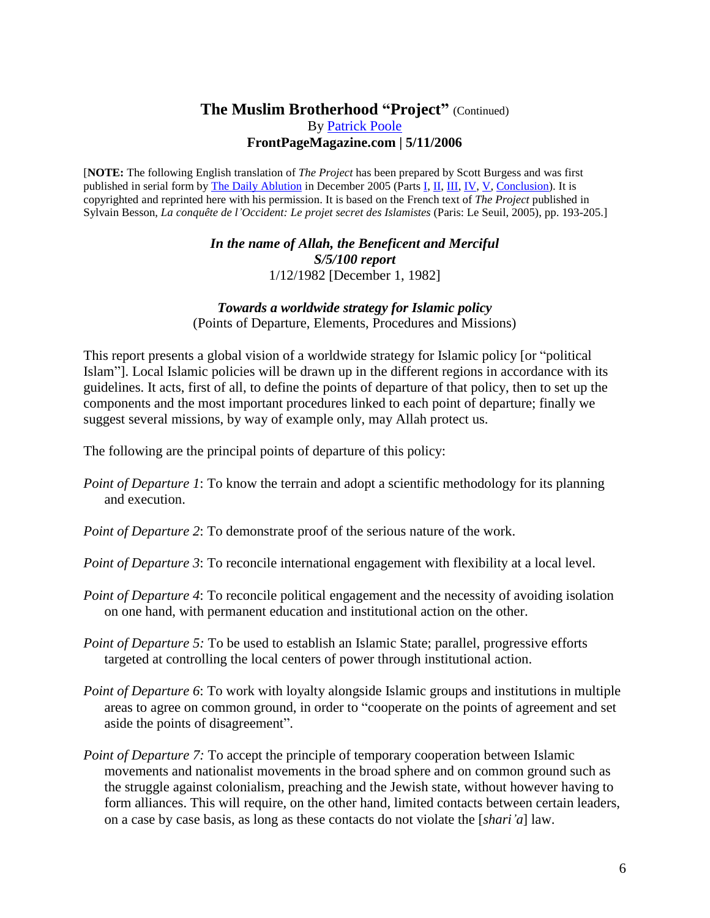# **The Muslim Brotherhood "Project"** (Continued) By [Patrick](http://www.frontpagemag.com/articles/authors.aspx?Name=Patrick%20Poole) Poole **FrontPageMagazine.com | 5/11/2006**

[**NOTE:** The following English translation of *The Project* has been prepared by Scott Burgess and was first published in serial form by The Daily [Ablution](http://dailyablution.blogs.com/) in December 2005 (Parts [I,](http://dailyablution.blogs.com/the_daily_ablution/2005/11/the_project_par.html) [II,](http://dailyablution.blogs.com/the_daily_ablution/2005/11/the_project_par_1.html) [III,](http://dailyablution.blogs.com/the_daily_ablution/2005/12/the_project_the.html) [IV,](http://dailyablution.blogs.com/the_daily_ablution/2005/12/the_project_par.html) [V,](http://dailyablution.blogs.com/the_daily_ablution/2005/12/todays_regular_.html) [Conclusion\)](http://dailyablution.blogs.com/the_daily_ablution/2005/12/the_project_six.html). It is copyrighted and reprinted here with his permission. It is based on the French text of *The Project* published in Sylvain Besson, *La conquête de l'Occident: Le projet secret des Islamistes* (Paris: Le Seuil, 2005), pp. 193-205.]

## *In the name of Allah, the Beneficent and Merciful S/5/100 report* 1/12/1982 [December 1, 1982]

#### *Towards a worldwide strategy for Islamic policy* (Points of Departure, Elements, Procedures and Missions)

This report presents a global vision of a worldwide strategy for Islamic policy [or "political Islam"]. Local Islamic policies will be drawn up in the different regions in accordance with its guidelines. It acts, first of all, to define the points of departure of that policy, then to set up the components and the most important procedures linked to each point of departure; finally we suggest several missions, by way of example only, may Allah protect us.

The following are the principal points of departure of this policy:

- *Point of Departure 1*: To know the terrain and adopt a scientific methodology for its planning and execution.
- *Point of Departure 2*: To demonstrate proof of the serious nature of the work.
- *Point* of *Departure* 3: To reconcile international engagement with flexibility at a local level.
- *Point of Departure 4*: To reconcile political engagement and the necessity of avoiding isolation on one hand, with permanent education and institutional action on the other.
- *Point of Departure 5:* To be used to establish an Islamic State; parallel, progressive efforts targeted at controlling the local centers of power through institutional action.
- *Point of Departure 6*: To work with loyalty alongside Islamic groups and institutions in multiple areas to agree on common ground, in order to "cooperate on the points of agreement and set aside the points of disagreement".
- *Point of Departure 7:* To accept the principle of temporary cooperation between Islamic movements and nationalist movements in the broad sphere and on common ground such as the struggle against colonialism, preaching and the Jewish state, without however having to form alliances. This will require, on the other hand, limited contacts between certain leaders, on a case by case basis, as long as these contacts do not violate the [*shari'a*] law.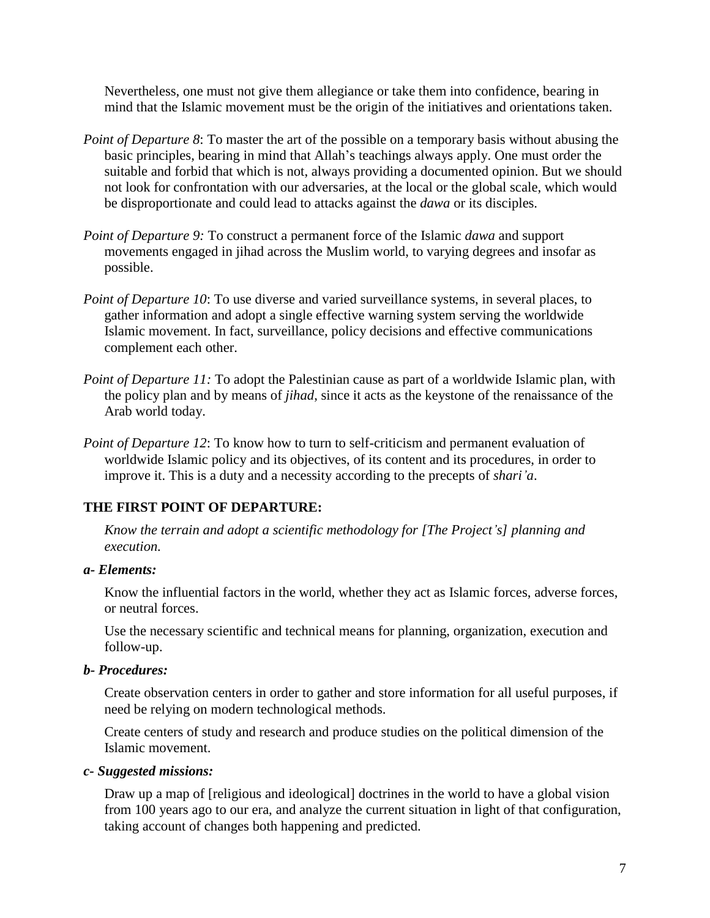Nevertheless, one must not give them allegiance or take them into confidence, bearing in mind that the Islamic movement must be the origin of the initiatives and orientations taken.

- *Point of Departure 8*: To master the art of the possible on a temporary basis without abusing the basic principles, bearing in mind that Allah's teachings always apply. One must order the suitable and forbid that which is not, always providing a documented opinion. But we should not look for confrontation with our adversaries, at the local or the global scale, which would be disproportionate and could lead to attacks against the *dawa* or its disciples.
- *Point of Departure 9:* To construct a permanent force of the Islamic *dawa* and support movements engaged in jihad across the Muslim world, to varying degrees and insofar as possible.
- *Point of Departure 10*: To use diverse and varied surveillance systems, in several places, to gather information and adopt a single effective warning system serving the worldwide Islamic movement. In fact, surveillance, policy decisions and effective communications complement each other.
- *Point of Departure 11:* To adopt the Palestinian cause as part of a worldwide Islamic plan, with the policy plan and by means of *jihad*, since it acts as the keystone of the renaissance of the Arab world today.
- *Point of Departure 12*: To know how to turn to self-criticism and permanent evaluation of worldwide Islamic policy and its objectives, of its content and its procedures, in order to improve it. This is a duty and a necessity according to the precepts of *shari'a*.

## **THE FIRST POINT OF DEPARTURE:**

*Know the terrain and adopt a scientific methodology for [The Project's] planning and execution.*

## *a- Elements:*

Know the influential factors in the world, whether they act as Islamic forces, adverse forces, or neutral forces.

Use the necessary scientific and technical means for planning, organization, execution and follow-up.

## *b- Procedures:*

Create observation centers in order to gather and store information for all useful purposes, if need be relying on modern technological methods.

Create centers of study and research and produce studies on the political dimension of the Islamic movement.

## *c- Suggested missions:*

Draw up a map of [religious and ideological] doctrines in the world to have a global vision from 100 years ago to our era, and analyze the current situation in light of that configuration, taking account of changes both happening and predicted.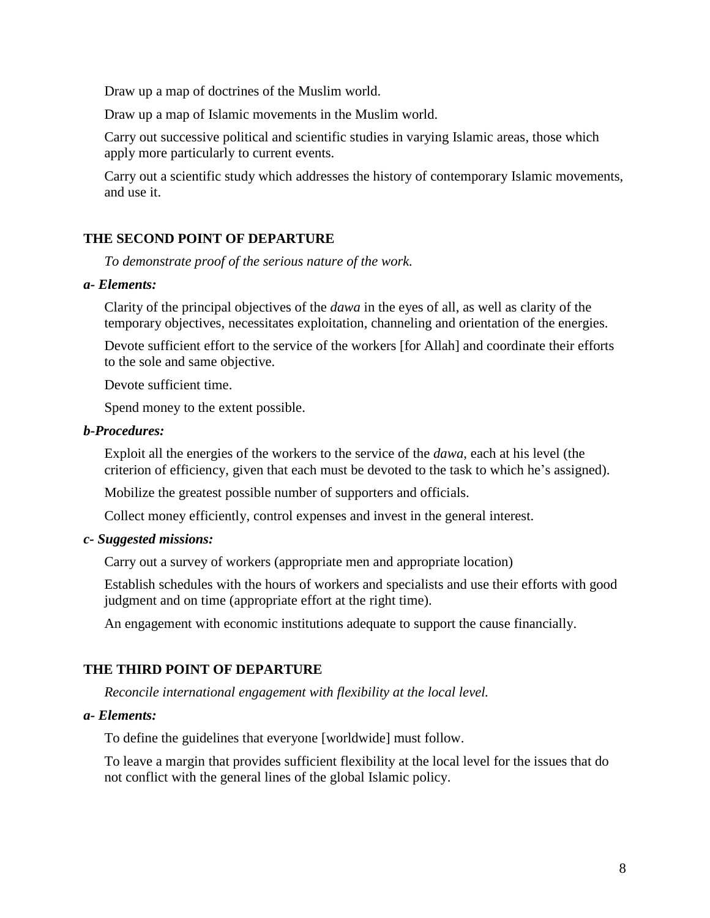Draw up a map of doctrines of the Muslim world.

Draw up a map of Islamic movements in the Muslim world.

Carry out successive political and scientific studies in varying Islamic areas, those which apply more particularly to current events.

Carry out a scientific study which addresses the history of contemporary Islamic movements, and use it.

## **THE SECOND POINT OF DEPARTURE**

*To demonstrate proof of the serious nature of the work.*

#### *a- Elements:*

Clarity of the principal objectives of the *dawa* in the eyes of all, as well as clarity of the temporary objectives, necessitates exploitation, channeling and orientation of the energies.

Devote sufficient effort to the service of the workers [for Allah] and coordinate their efforts to the sole and same objective.

Devote sufficient time.

Spend money to the extent possible.

#### *b-Procedures:*

Exploit all the energies of the workers to the service of the *dawa*, each at his level (the criterion of efficiency, given that each must be devoted to the task to which he's assigned).

Mobilize the greatest possible number of supporters and officials.

Collect money efficiently, control expenses and invest in the general interest.

#### *c- Suggested missions:*

Carry out a survey of workers (appropriate men and appropriate location)

Establish schedules with the hours of workers and specialists and use their efforts with good judgment and on time (appropriate effort at the right time).

An engagement with economic institutions adequate to support the cause financially.

## **THE THIRD POINT OF DEPARTURE**

*Reconcile international engagement with flexibility at the local level.*

## *a- Elements:*

To define the guidelines that everyone [worldwide] must follow.

To leave a margin that provides sufficient flexibility at the local level for the issues that do not conflict with the general lines of the global Islamic policy.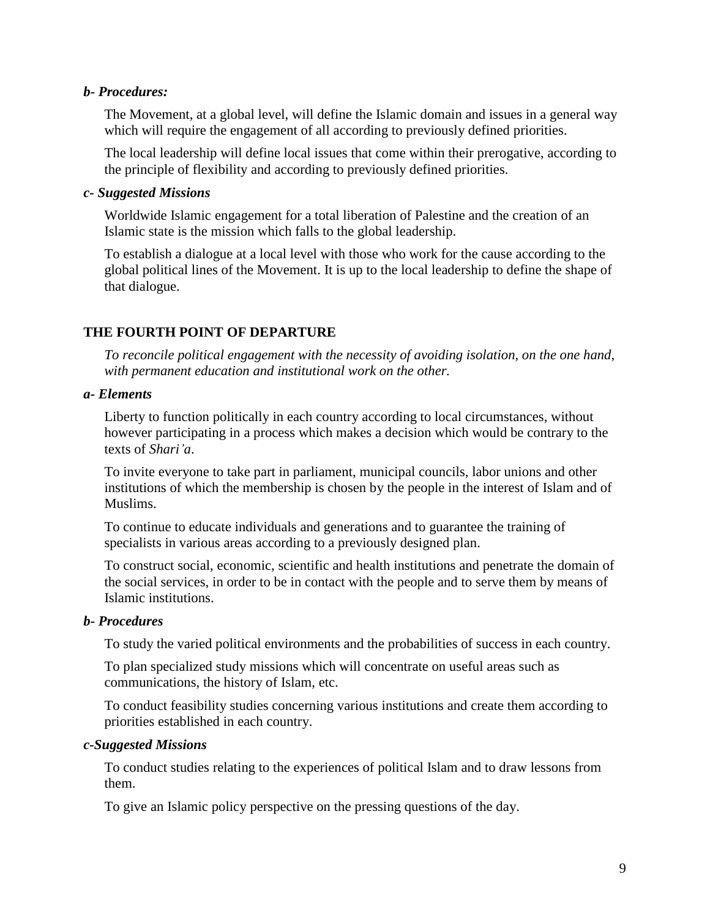## *b- Procedures:*

The Movement, at a global level, will define the Islamic domain and issues in a general way which will require the engagement of all according to previously defined priorities.

The local leadership will define local issues that come within their prerogative, according to the principle of flexibility and according to previously defined priorities.

## *c- Suggested Missions*

Worldwide Islamic engagement for a total liberation of Palestine and the creation of an Islamic state is the mission which falls to the global leadership.

To establish a dialogue at a local level with those who work for the cause according to the global political lines of the Movement. It is up to the local leadership to define the shape of that dialogue.

# **THE FOURTH POINT OF DEPARTURE**

*To reconcile political engagement with the necessity of avoiding isolation, on the one hand, with permanent education and institutional work on the other.*

## *a- Elements*

Liberty to function politically in each country according to local circumstances, without however participating in a process which makes a decision which would be contrary to the texts of *Shari'a*.

To invite everyone to take part in parliament, municipal councils, labor unions and other institutions of which the membership is chosen by the people in the interest of Islam and of Muslims.

To continue to educate individuals and generations and to guarantee the training of specialists in various areas according to a previously designed plan.

To construct social, economic, scientific and health institutions and penetrate the domain of the social services, in order to be in contact with the people and to serve them by means of Islamic institutions.

## *b- Procedures*

To study the varied political environments and the probabilities of success in each country.

To plan specialized study missions which will concentrate on useful areas such as communications, the history of Islam, etc.

To conduct feasibility studies concerning various institutions and create them according to priorities established in each country.

## *c-Suggested Missions*

To conduct studies relating to the experiences of political Islam and to draw lessons from them.

To give an Islamic policy perspective on the pressing questions of the day.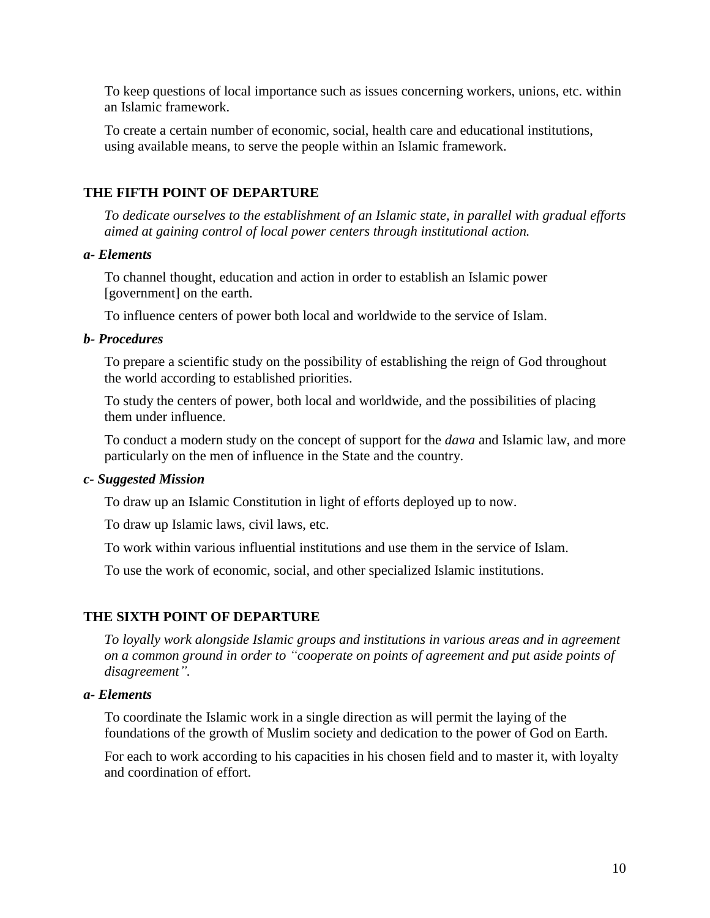To keep questions of local importance such as issues concerning workers, unions, etc. within an Islamic framework.

To create a certain number of economic, social, health care and educational institutions, using available means, to serve the people within an Islamic framework.

# **THE FIFTH POINT OF DEPARTURE**

*To dedicate ourselves to the establishment of an Islamic state, in parallel with gradual efforts aimed at gaining control of local power centers through institutional action.*

## *a- Elements*

To channel thought, education and action in order to establish an Islamic power [government] on the earth.

To influence centers of power both local and worldwide to the service of Islam.

## *b- Procedures*

To prepare a scientific study on the possibility of establishing the reign of God throughout the world according to established priorities.

To study the centers of power, both local and worldwide, and the possibilities of placing them under influence.

To conduct a modern study on the concept of support for the *dawa* and Islamic law, and more particularly on the men of influence in the State and the country.

## *c- Suggested Mission*

To draw up an Islamic Constitution in light of efforts deployed up to now.

To draw up Islamic laws, civil laws, etc.

To work within various influential institutions and use them in the service of Islam.

To use the work of economic, social, and other specialized Islamic institutions.

## **THE SIXTH POINT OF DEPARTURE**

*To loyally work alongside Islamic groups and institutions in various areas and in agreement on a common ground in order to "cooperate on points of agreement and put aside points of disagreement".*

## *a- Elements*

To coordinate the Islamic work in a single direction as will permit the laying of the foundations of the growth of Muslim society and dedication to the power of God on Earth.

For each to work according to his capacities in his chosen field and to master it, with loyalty and coordination of effort.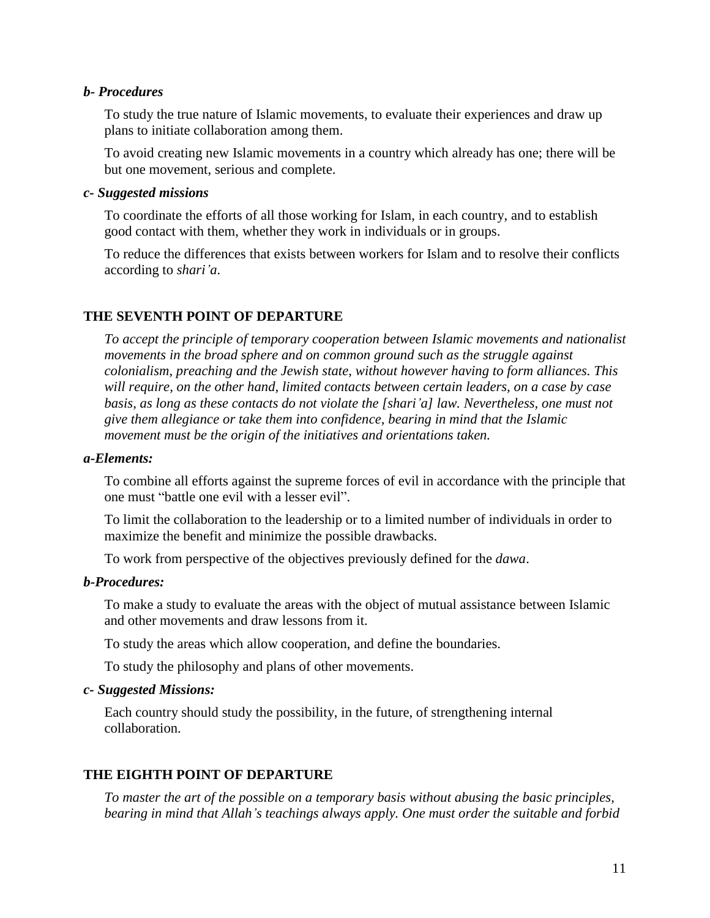#### *b- Procedures*

To study the true nature of Islamic movements, to evaluate their experiences and draw up plans to initiate collaboration among them.

To avoid creating new Islamic movements in a country which already has one; there will be but one movement, serious and complete.

#### *c- Suggested missions*

To coordinate the efforts of all those working for Islam, in each country, and to establish good contact with them, whether they work in individuals or in groups.

To reduce the differences that exists between workers for Islam and to resolve their conflicts according to *shari'a*.

## **THE SEVENTH POINT OF DEPARTURE**

*To accept the principle of temporary cooperation between Islamic movements and nationalist movements in the broad sphere and on common ground such as the struggle against colonialism, preaching and the Jewish state, without however having to form alliances. This will require, on the other hand, limited contacts between certain leaders, on a case by case basis, as long as these contacts do not violate the [shari'a] law. Nevertheless, one must not give them allegiance or take them into confidence, bearing in mind that the Islamic movement must be the origin of the initiatives and orientations taken.*

#### *a-Elements:*

To combine all efforts against the supreme forces of evil in accordance with the principle that one must "battle one evil with a lesser evil".

To limit the collaboration to the leadership or to a limited number of individuals in order to maximize the benefit and minimize the possible drawbacks.

To work from perspective of the objectives previously defined for the *dawa*.

## *b-Procedures:*

To make a study to evaluate the areas with the object of mutual assistance between Islamic and other movements and draw lessons from it.

To study the areas which allow cooperation, and define the boundaries.

To study the philosophy and plans of other movements.

## *c- Suggested Missions:*

Each country should study the possibility, in the future, of strengthening internal collaboration.

## **THE EIGHTH POINT OF DEPARTURE**

*To master the art of the possible on a temporary basis without abusing the basic principles, bearing in mind that Allah's teachings always apply. One must order the suitable and forbid*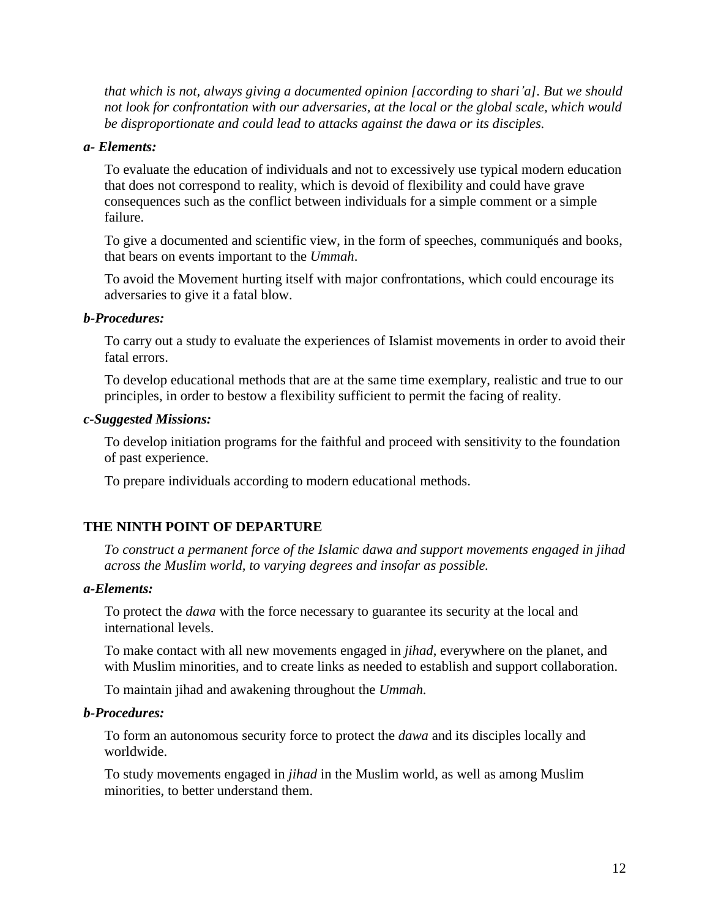*that which is not, always giving a documented opinion [according to shari'a]. But we should not look for confrontation with our adversaries, at the local or the global scale, which would be disproportionate and could lead to attacks against the dawa or its disciples.*

#### *a- Elements:*

To evaluate the education of individuals and not to excessively use typical modern education that does not correspond to reality, which is devoid of flexibility and could have grave consequences such as the conflict between individuals for a simple comment or a simple failure.

To give a documented and scientific view, in the form of speeches, communiqués and books, that bears on events important to the *Ummah*.

To avoid the Movement hurting itself with major confrontations, which could encourage its adversaries to give it a fatal blow.

## *b-Procedures:*

To carry out a study to evaluate the experiences of Islamist movements in order to avoid their fatal errors.

To develop educational methods that are at the same time exemplary, realistic and true to our principles, in order to bestow a flexibility sufficient to permit the facing of reality.

#### *c-Suggested Missions:*

To develop initiation programs for the faithful and proceed with sensitivity to the foundation of past experience.

To prepare individuals according to modern educational methods.

## **THE NINTH POINT OF DEPARTURE**

*To construct a permanent force of the Islamic dawa and support movements engaged in jihad across the Muslim world, to varying degrees and insofar as possible.*

## *a-Elements:*

To protect the *dawa* with the force necessary to guarantee its security at the local and international levels.

To make contact with all new movements engaged in *jihad*, everywhere on the planet, and with Muslim minorities, and to create links as needed to establish and support collaboration.

To maintain jihad and awakening throughout the *Ummah.*

#### *b-Procedures:*

To form an autonomous security force to protect the *dawa* and its disciples locally and worldwide.

To study movements engaged in *jihad* in the Muslim world, as well as among Muslim minorities, to better understand them.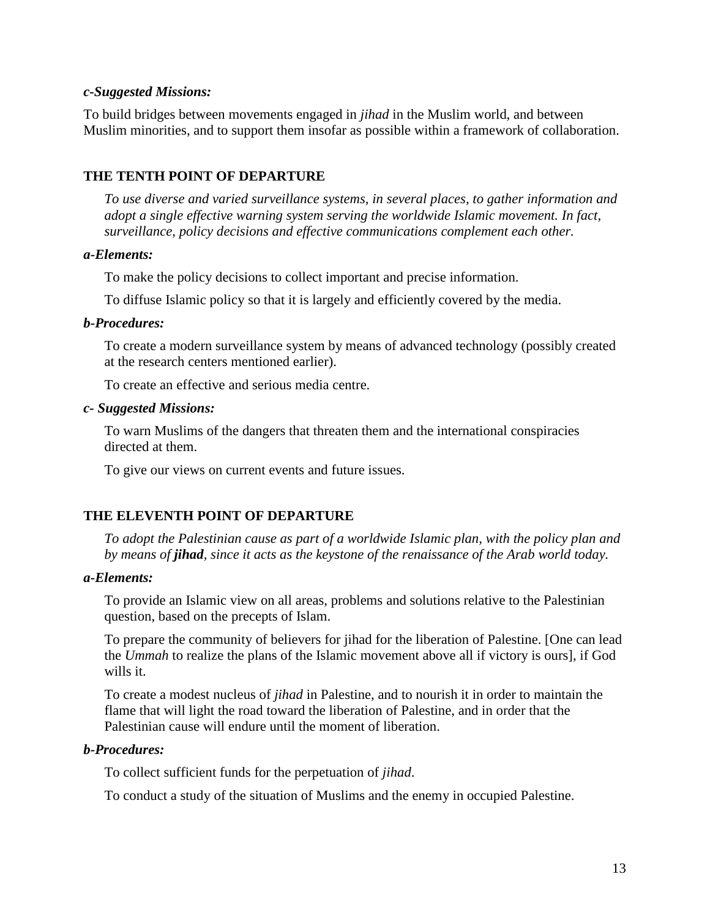#### *c-Suggested Missions:*

To build bridges between movements engaged in *jihad* in the Muslim world, and between Muslim minorities, and to support them insofar as possible within a framework of collaboration.

## **THE TENTH POINT OF DEPARTURE**

*To use diverse and varied surveillance systems, in several places, to gather information and adopt a single effective warning system serving the worldwide Islamic movement. In fact, surveillance, policy decisions and effective communications complement each other.*

#### *a-Elements:*

To make the policy decisions to collect important and precise information.

To diffuse Islamic policy so that it is largely and efficiently covered by the media.

#### *b-Procedures:*

To create a modern surveillance system by means of advanced technology (possibly created at the research centers mentioned earlier).

To create an effective and serious media centre.

#### *c- Suggested Missions:*

To warn Muslims of the dangers that threaten them and the international conspiracies directed at them.

To give our views on current events and future issues.

## **THE ELEVENTH POINT OF DEPARTURE**

*To adopt the Palestinian cause as part of a worldwide Islamic plan, with the policy plan and* by means of **jihad**, since it acts as the keystone of the renaissance of the Arab world today.

#### *a-Elements:*

To provide an Islamic view on all areas, problems and solutions relative to the Palestinian question, based on the precepts of Islam.

To prepare the community of believers for jihad for the liberation of Palestine. [One can lead the *Ummah* to realize the plans of the Islamic movement above all if victory is ours], if God wills it.

To create a modest nucleus of *jihad* in Palestine, and to nourish it in order to maintain the flame that will light the road toward the liberation of Palestine, and in order that the Palestinian cause will endure until the moment of liberation.

#### *b-Procedures:*

To collect sufficient funds for the perpetuation of *jihad*.

To conduct a study of the situation of Muslims and the enemy in occupied Palestine.